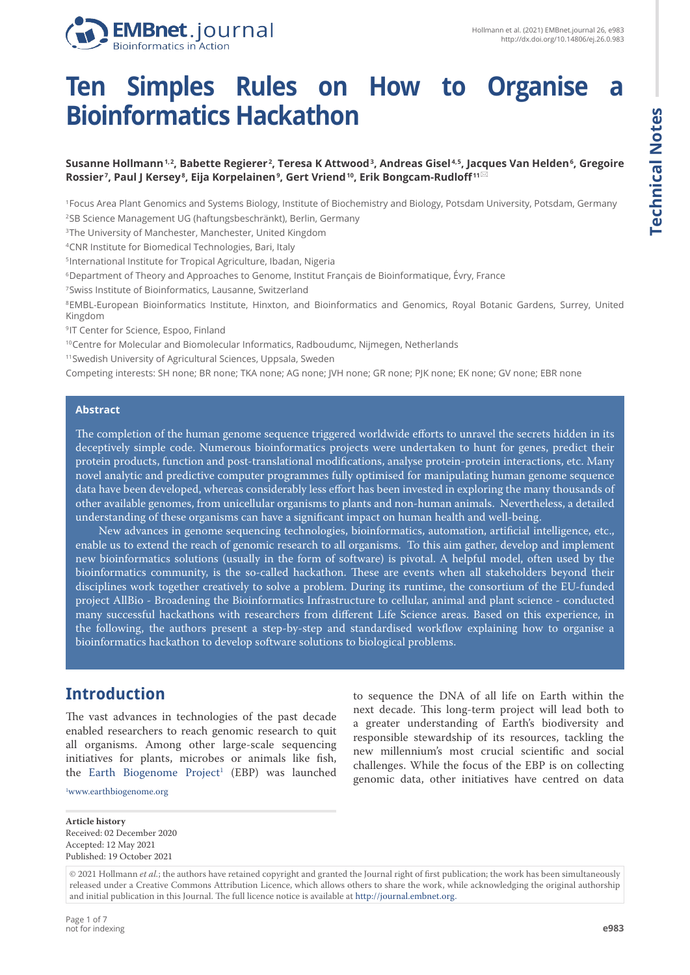

# **Ten Simples Rules on How to Organise a Bioinformatics Hackathon**

#### **Susanne Hollmann 1, 2, Babette Regierer 2 , Teresa K Attwood <sup>3</sup> , Andreas Gisel 4, 5, Jacques Van Helden <sup>6</sup> , Gregoire**   ${\sf Rossier}$ ̃, Paul J Kersey $^{\rm 8}$ , Eija Korpelainen $^{\rm 9}$ , Gert Vriend $^{\rm 10}$ , Erik Bongcam-Rudloff $^{\rm 11\%}$

<sup>1</sup>Focus Area Plant Genomics and Systems Biology, Institute of Biochemistry and Biology, Potsdam University, Potsdam, Germany <sup>2</sup>SB Science Management UG (haftungsbeschränkt), Berlin, Germany

<sup>3</sup>The University of Manchester, Manchester, United Kingdom

<sup>4</sup>CNR Institute for Biomedical Technologies, Bari, Italy

<sup>5</sup>International Institute for Tropical Agriculture, Ibadan, Nigeria

<sup>6</sup>Department of Theory and Approaches to Genome, Institut Français de Bioinformatique, Évry, France

<sup>7</sup>Swiss Institute of Bioinformatics, Lausanne, Switzerland

<sup>8</sup>EMBL-European Bioinformatics Institute, Hinxton, and Bioinformatics and Genomics, Royal Botanic Gardens, Surrey, United Kingdom

<sup>9</sup>IT Center for Science, Espoo, Finland

<sup>10</sup>Centre for Molecular and Biomolecular Informatics, Radboudumc, Nijmegen, Netherlands

<sup>11</sup>Swedish University of Agricultural Sciences, Uppsala, Sweden

Competing interests: SH none; BR none; TKA none; AG none; JVH none; GR none; PJK none; EK none; GV none; EBR none

#### **Abstract**

The completion of the human genome sequence triggered worldwide efforts to unravel the secrets hidden in its deceptively simple code. Numerous bioinformatics projects were undertaken to hunt for genes, predict their protein products, function and post-translational modifications, analyse protein-protein interactions, etc. Many novel analytic and predictive computer programmes fully optimised for manipulating human genome sequence data have been developed, whereas considerably less effort has been invested in exploring the many thousands of other available genomes, from unicellular organisms to plants and non-human animals. Nevertheless, a detailed understanding of these organisms can have a significant impact on human health and well-being.

New advances in genome sequencing technologies, bioinformatics, automation, artificial intelligence, etc., enable us to extend the reach of genomic research to all organisms. To this aim gather, develop and implement new bioinformatics solutions (usually in the form of software) is pivotal. A helpful model, often used by the bioinformatics community, is the so-called hackathon. These are events when all stakeholders beyond their disciplines work together creatively to solve a problem. During its runtime, the consortium of the EU-funded project AllBio - Broadening the Bioinformatics Infrastructure to cellular, animal and plant science - conducted many successful hackathons with researchers from different Life Science areas. Based on this experience, in the following, the authors present a step-by-step and standardised workflow explaining how to organise a bioinformatics hackathon to develop software solutions to biological problems.

# **Introduction**

The vast advances in technologies of the past decade enabled researchers to reach genomic research to quit all organisms. Among other large-scale sequencing initiatives for plants, microbes or animals like fish, the Earth Biogenome Project<sup>1</sup> (EBP) was launched

1 <www.earthbiogenome.org>

to sequence the DNA of all life on Earth within the next decade. This long-term project will lead both to a greater understanding of Earth's biodiversity and responsible stewardship of its resources, tackling the new millennium's most crucial scientific and social challenges. While the focus of the EBP is on collecting genomic data, other initiatives have centred on data

**Article history** Received: 02 December 2020 Accepted: 12 May 2021 Published: 19 October 2021

<sup>© 2021</sup> Hollmann *et al.*; the authors have retained copyright and granted the Journal right of first publication; the work has been simultaneously released under a Creative Commons Attribution Licence, which allows others to share the work, while acknowledging the original authorship and initial publication in this Journal. The full licence notice is available at http://journal.embnet.org.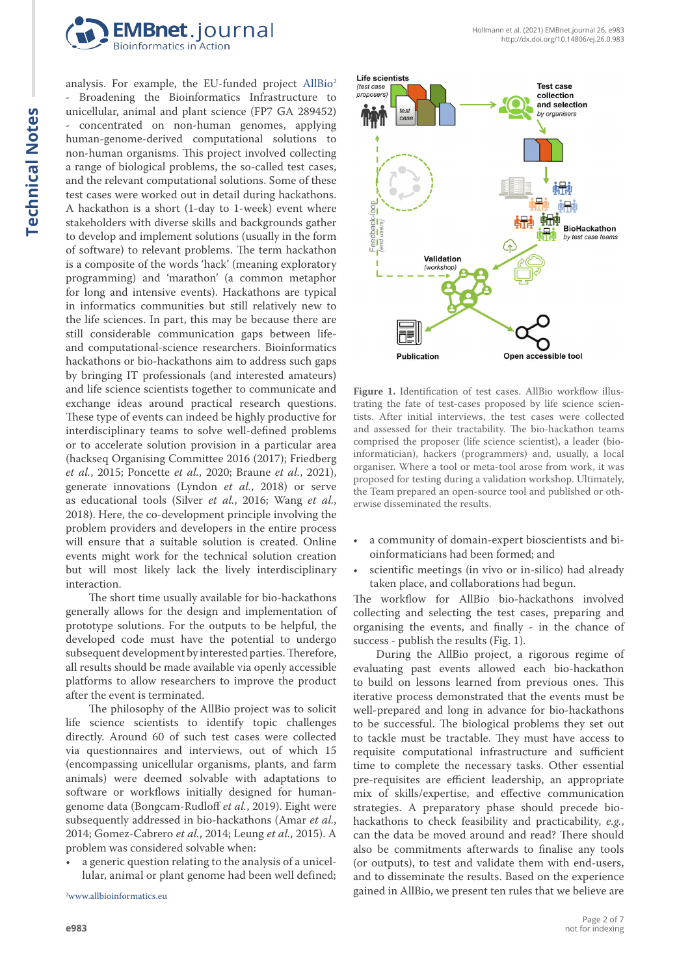

analysis. For example, the EU-funded project AllBio<sup>2</sup> Broadening the Bioinformatics Infrastructure to unicellular, animal and plant science (FP7 GA 289452) - concentrated on non-human genomes, applying human-genome-derived computational solutions to non-human organisms. This project involved collecting a range of biological problems, the so-called test cases, and the relevant computational solutions. Some of these test cases were worked out in detail during hackathons. A hackathon is a short (1-day to 1-week) event where stakeholders with diverse skills and backgrounds gather to develop and implement solutions (usually in the form of software) to relevant problems. The term hackathon is a composite of the words 'hack' (meaning exploratory programming) and 'marathon' (a common metaphor for long and intensive events). Hackathons are typical in informatics communities but still relatively new to the life sciences. In part, this may be because there are still considerable communication gaps between lifeand computational-science researchers. Bioinformatics hackathons or bio-hackathons aim to address such gaps by bringing IT professionals (and interested amateurs) and life science scientists together to communicate and exchange ideas around practical research questions. These type of events can indeed be highly productive for interdisciplinary teams to solve well-defined problems or to accelerate solution provision in a particular area (hackseq Organising Committee 2016 (2017); Friedberg *et al.*, 2015; Poncette *et al.*, 2020; Braune *et al.*, 2021), generate innovations (Lyndon *et al.*, 2018) or serve as educational tools (Silver *et al.*, 2016; Wang *et al.*, 2018). Here, the co-development principle involving the problem providers and developers in the entire process will ensure that a suitable solution is created. Online events might work for the technical solution creation but will most likely lack the lively interdisciplinary interaction.

The short time usually available for bio-hackathons generally allows for the design and implementation of prototype solutions. For the outputs to be helpful, the developed code must have the potential to undergo subsequent development by interested parties. Therefore, all results should be made available via openly accessible platforms to allow researchers to improve the product after the event is terminated.

The philosophy of the AllBio project was to solicit life science scientists to identify topic challenges directly. Around 60 of such test cases were collected via questionnaires and interviews, out of which 15 (encompassing unicellular organisms, plants, and farm animals) were deemed solvable with adaptations to software or workflows initially designed for humangenome data (Bongcam-Rudloff *et al.*, 2019). Eight were subsequently addressed in bio-hackathons (Amar *et al.*, 2014; Gomez-Cabrero *et al.*, 2014; Leung *et al.*, 2015). A problem was considered solvable when:

• a generic question relating to the analysis of a unicellular, animal or plant genome had been well defined;



Figure 1. Identification of test cases. AllBio workflow illustrating the fate of test-cases proposed by life science scientists. After initial interviews, the test cases were collected and assessed for their tractability. The bio-hackathon teams comprised the proposer (life science scientist), a leader (bioinformatician), hackers (programmers) and, usually, a local organiser. Where a tool or meta-tool arose from work, it was proposed for testing during a validation workshop. Ultimately, the Team prepared an open-source tool and published or otherwise disseminated the results.

- a community of domain-expert bioscientists and bioinformaticians had been formed; and
- scientific meetings (in vivo or in-silico) had already taken place, and collaborations had begun.

The workflow for AllBio bio-hackathons involved collecting and selecting the test cases, preparing and organising the events, and finally - in the chance of success - publish the results (Fig. 1).

During the AllBio project, a rigorous regime of evaluating past events allowed each bio-hackathon to build on lessons learned from previous ones. This iterative process demonstrated that the events must be well-prepared and long in advance for bio-hackathons to be successful. The biological problems they set out to tackle must be tractable. They must have access to requisite computational infrastructure and sufficient time to complete the necessary tasks. Other essential pre-requisites are efficient leadership, an appropriate mix of skills/expertise, and effective communication strategies. A preparatory phase should precede biohackathons to check feasibility and practicability, *e.g.*, can the data be moved around and read? There should also be commitments afterwards to finalise any tools (or outputs), to test and validate them with end-users, and to disseminate the results. Based on the experience gained in AllBio, we present ten rules that we believe are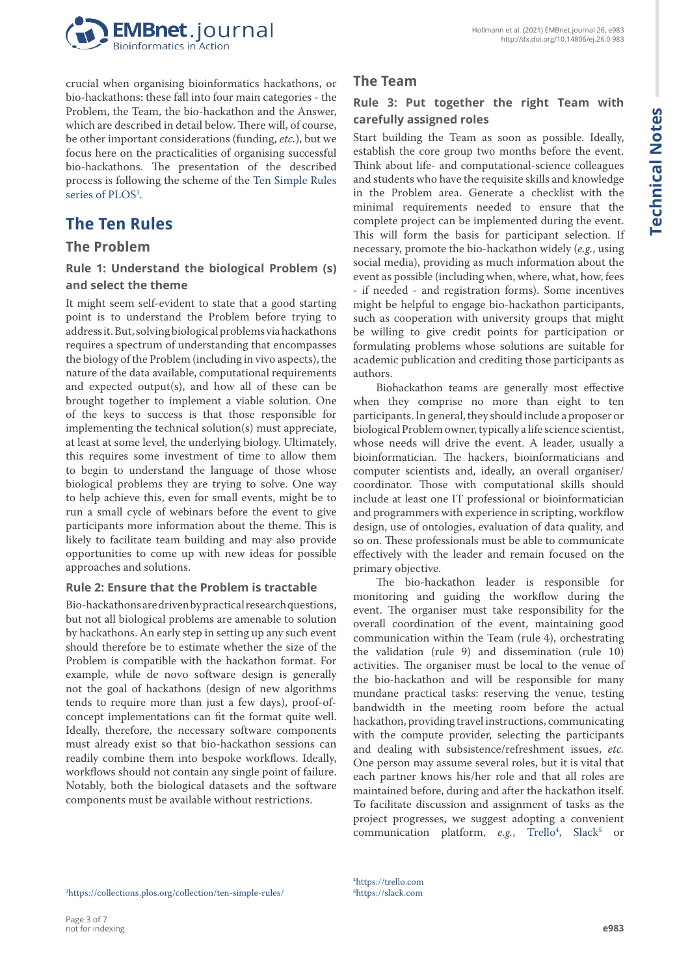

crucial when organising bioinformatics hackathons, or bio-hackathons: these fall into four main categories - the Problem, the Team, the bio-hackathon and the Answer, which are described in detail below. There will, of course, be other important considerations (funding, *etc.*), but we focus here on the practicalities of organising successful bio-hackathons. The presentation of the described process is following the scheme of the [Ten Simple Rules](https://collections.plos.org/collection/ten-simple-rules/) series of PLOS<sup>3</sup>.

# **The Ten Rules**

## **The Problem**

**Rule 1: Understand the biological Problem (s) and select the theme**

It might seem self-evident to state that a good starting point is to understand the Problem before trying to address it. But, solving biological problems via hackathons requires a spectrum of understanding that encompasses the biology of the Problem (including in vivo aspects), the nature of the data available, computational requirements and expected output(s), and how all of these can be brought together to implement a viable solution. One of the keys to success is that those responsible for implementing the technical solution(s) must appreciate, at least at some level, the underlying biology. Ultimately, this requires some investment of time to allow them to begin to understand the language of those whose biological problems they are trying to solve. One way to help achieve this, even for small events, might be to run a small cycle of webinars before the event to give participants more information about the theme. This is likely to facilitate team building and may also provide opportunities to come up with new ideas for possible approaches and solutions.

#### **Rule 2: Ensure that the Problem is tractable**

Bio-hackathons are driven by practical research questions, but not all biological problems are amenable to solution by hackathons. An early step in setting up any such event should therefore be to estimate whether the size of the Problem is compatible with the hackathon format. For example, while de novo software design is generally not the goal of hackathons (design of new algorithms tends to require more than just a few days), proof-ofconcept implementations can fit the format quite well. Ideally, therefore, the necessary software components must already exist so that bio-hackathon sessions can readily combine them into bespoke workflows. Ideally, workflows should not contain any single point of failure. Notably, both the biological datasets and the software components must be available without restrictions.

## **The Team**

### **Rule 3: Put together the right Team with carefully assigned roles**

Start building the Team as soon as possible. Ideally, establish the core group two months before the event. Think about life- and computational-science colleagues and students who have the requisite skills and knowledge in the Problem area. Generate a checklist with the minimal requirements needed to ensure that the complete project can be implemented during the event. This will form the basis for participant selection. If necessary, promote the bio-hackathon widely (*e.g.*, using social media), providing as much information about the event as possible (including when, where, what, how, fees - if needed - and registration forms). Some incentives might be helpful to engage bio-hackathon participants, such as cooperation with university groups that might be willing to give credit points for participation or formulating problems whose solutions are suitable for academic publication and crediting those participants as authors.

Biohackathon teams are generally most effective when they comprise no more than eight to ten participants. In general, they should include a proposer or biological Problem owner, typically a life science scientist, whose needs will drive the event. A leader, usually a bioinformatician. The hackers, bioinformaticians and computer scientists and, ideally, an overall organiser/ coordinator. Those with computational skills should include at least one IT professional or bioinformatician and programmers with experience in scripting, workflow design, use of ontologies, evaluation of data quality, and so on. These professionals must be able to communicate effectively with the leader and remain focused on the primary objective.

The bio-hackathon leader is responsible for monitoring and guiding the workflow during the event. The organiser must take responsibility for the overall coordination of the event, maintaining good communication within the Team (rule 4), orchestrating the validation (rule 9) and dissemination (rule 10) activities. The organiser must be local to the venue of the bio-hackathon and will be responsible for many mundane practical tasks: reserving the venue, testing bandwidth in the meeting room before the actual hackathon, providing travel instructions, communicating with the compute provider, selecting the participants and dealing with subsistence/refreshment issues, *etc.* One person may assume several roles, but it is vital that each partner knows his/her role and that all roles are maintained before, during and after the hackathon itself. To facilitate discussion and assignment of tasks as the project progresses, we suggest adopting a convenient communication platform, *e.g.*, Trello<sup>4</sup>, Slack<sup>5</sup> or

4 <https://trello.com> 5 <https://slack.com>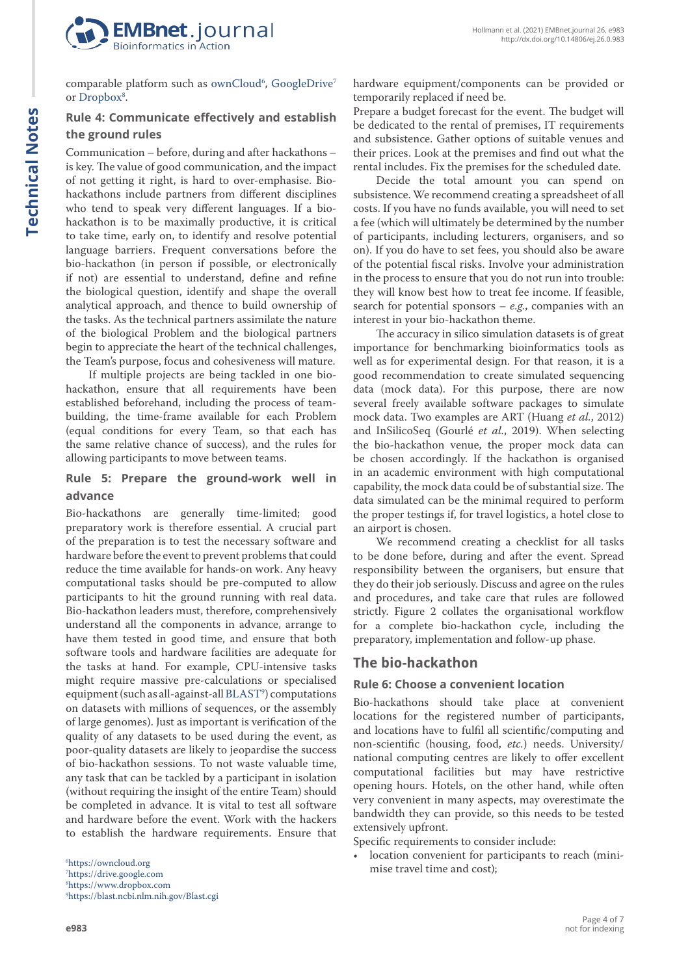

comparable platform such as ownCloud<sup>6</sup>, GoogleDrive<sup>7</sup> or [Dropbox](https://www.dropbox.com)<sup>8</sup>.

#### **Rule 4: Communicate effectively and establish the ground rules**

Communication – before, during and after hackathons – is key. The value of good communication, and the impact of not getting it right, is hard to over-emphasise. Biohackathons include partners from different disciplines who tend to speak very different languages. If a biohackathon is to be maximally productive, it is critical to take time, early on, to identify and resolve potential language barriers. Frequent conversations before the bio-hackathon (in person if possible, or electronically if not) are essential to understand, define and refine the biological question, identify and shape the overall analytical approach, and thence to build ownership of the tasks. As the technical partners assimilate the nature of the biological Problem and the biological partners begin to appreciate the heart of the technical challenges, the Team's purpose, focus and cohesiveness will mature.

If multiple projects are being tackled in one biohackathon, ensure that all requirements have been established beforehand, including the process of teambuilding, the time-frame available for each Problem (equal conditions for every Team, so that each has the same relative chance of success), and the rules for allowing participants to move between teams.

#### **Rule 5: Prepare the ground-work well in advance**

Bio-hackathons are generally time-limited; good preparatory work is therefore essential. A crucial part of the preparation is to test the necessary software and hardware before the event to prevent problems that could reduce the time available for hands-on work. Any heavy computational tasks should be pre-computed to allow participants to hit the ground running with real data. Bio-hackathon leaders must, therefore, comprehensively understand all the components in advance, arrange to have them tested in good time, and ensure that both software tools and hardware facilities are adequate for the tasks at hand. For example, CPU-intensive tasks might require massive pre-calculations or specialised equipment (such as all-against-all BLAST°) computations on datasets with millions of sequences, or the assembly of large genomes). Just as important is verification of the quality of any datasets to be used during the event, as poor-quality datasets are likely to jeopardise the success of bio-hackathon sessions. To not waste valuable time, any task that can be tackled by a participant in isolation (without requiring the insight of the entire Team) should be completed in advance. It is vital to test all software and hardware before the event. Work with the hackers to establish the hardware requirements. Ensure that

 <https://owncloud.org> <https://drive.google.com> <https://www.dropbox.com> <https://blast.ncbi.nlm.nih.gov/Blast.cgi> hardware equipment/components can be provided or temporarily replaced if need be.

Prepare a budget forecast for the event. The budget will be dedicated to the rental of premises, IT requirements and subsistence. Gather options of suitable venues and their prices. Look at the premises and find out what the rental includes. Fix the premises for the scheduled date.

Decide the total amount you can spend on subsistence. We recommend creating a spreadsheet of all costs. If you have no funds available, you will need to set a fee (which will ultimately be determined by the number of participants, including lecturers, organisers, and so on). If you do have to set fees, you should also be aware of the potential fiscal risks. Involve your administration in the process to ensure that you do not run into trouble: they will know best how to treat fee income. If feasible, search for potential sponsors – *e.g.*, companies with an interest in your bio-hackathon theme.

The accuracy in silico simulation datasets is of great importance for benchmarking bioinformatics tools as well as for experimental design. For that reason, it is a good recommendation to create simulated sequencing data (mock data). For this purpose, there are now several freely available software packages to simulate mock data. Two examples are ART (Huang *et al.*, 2012) and InSilicoSeq (Gourlé *et al.*, 2019). When selecting the bio-hackathon venue, the proper mock data can be chosen accordingly. If the hackathon is organised in an academic environment with high computational capability, the mock data could be of substantial size. The data simulated can be the minimal required to perform the proper testings if, for travel logistics, a hotel close to an airport is chosen.

We recommend creating a checklist for all tasks to be done before, during and after the event. Spread responsibility between the organisers, but ensure that they do their job seriously. Discuss and agree on the rules and procedures, and take care that rules are followed strictly. Figure 2 collates the organisational workflow for a complete bio-hackathon cycle, including the preparatory, implementation and follow-up phase.

#### **The bio-hackathon**

#### **Rule 6: Choose a convenient location**

Bio-hackathons should take place at convenient locations for the registered number of participants, and locations have to fulfil all scientific/computing and non-scientific (housing, food, *etc.*) needs. University/ national computing centres are likely to offer excellent computational facilities but may have restrictive opening hours. Hotels, on the other hand, while often very convenient in many aspects, may overestimate the bandwidth they can provide, so this needs to be tested extensively upfront.

Specific requirements to consider include:

• location convenient for participants to reach (minimise travel time and cost);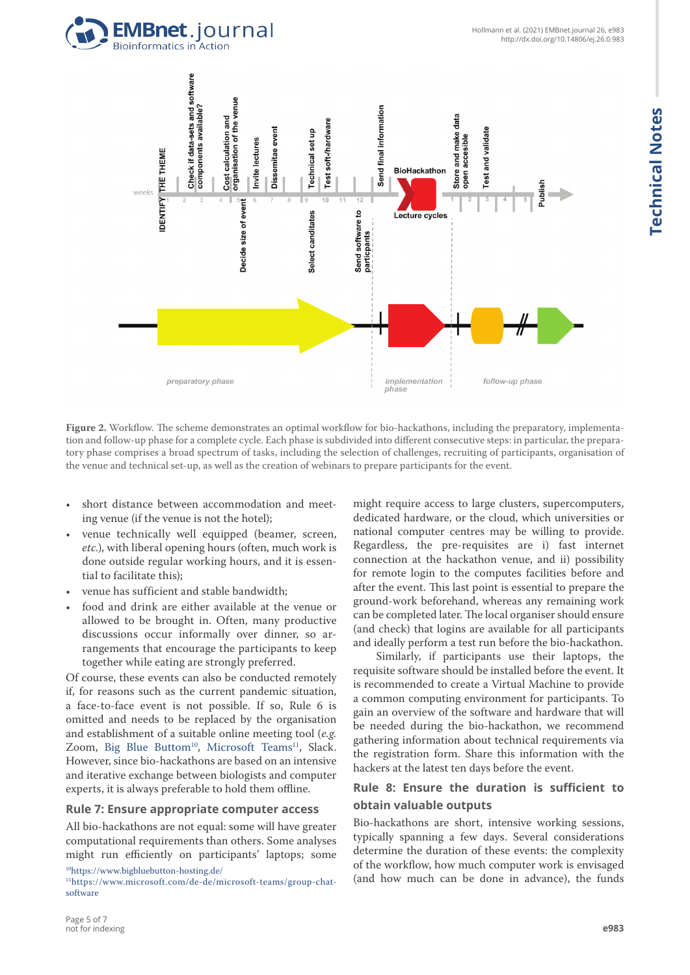



**Figure 2.** Workflow. The scheme demonstrates an optimal workflow for bio-hackathons, including the preparatory, implementation and follow-up phase for a complete cycle. Each phase is subdivided into different consecutive steps: in particular, the preparatory phase comprises a broad spectrum of tasks, including the selection of challenges, recruiting of participants, organisation of the venue and technical set-up, as well as the creation of webinars to prepare participants for the event.

- short distance between accommodation and meeting venue (if the venue is not the hotel);
- venue technically well equipped (beamer, screen, *etc.*), with liberal opening hours (often, much work is done outside regular working hours, and it is essential to facilitate this);
- venue has sufficient and stable bandwidth;
- food and drink are either available at the venue or allowed to be brought in. Often, many productive discussions occur informally over dinner, so arrangements that encourage the participants to keep together while eating are strongly preferred.

Of course, these events can also be conducted remotely if, for reasons such as the current pandemic situation, a face-to-face event is not possible. If so, Rule 6 is omitted and needs to be replaced by the organisation and establishment of a suitable online meeting tool (*e.g.* Zoom, Big Blue Buttom<sup>10</sup>, [Microsoft Teams](https://www.microsoft.com/de-de/microsoft-teams/group-chat-software)<sup>11</sup>, Slack. However, since bio-hackathons are based on an intensive and iterative exchange between biologists and computer experts, it is always preferable to hold them offline.

#### **Rule 7: Ensure appropriate computer access**

All bio-hackathons are not equal: some will have greater computational requirements than others. Some analyses might run efficiently on participants' laptops; some 1[0https://www.bigbluebutton-hosting.de/](https://www.bigbluebutton-hosting.de/)

might require access to large clusters, supercomputers, dedicated hardware, or the cloud, which universities or national computer centres may be willing to provide. Regardless, the pre-requisites are i) fast internet connection at the hackathon venue, and ii) possibility for remote login to the computes facilities before and after the event. This last point is essential to prepare the ground-work beforehand, whereas any remaining work can be completed later. The local organiser should ensure (and check) that logins are available for all participants and ideally perform a test run before the bio-hackathon.

Similarly, if participants use their laptops, the requisite software should be installed before the event. It is recommended to create a Virtual Machine to provide a common computing environment for participants. To gain an overview of the software and hardware that will be needed during the bio-hackathon, we recommend gathering information about technical requirements via the registration form. Share this information with the hackers at the latest ten days before the event.

#### **Rule 8: Ensure the duration is sufficient to obtain valuable outputs**

Bio-hackathons are short, intensive working sessions, typically spanning a few days. Several considerations determine the duration of these events: the complexity of the workflow, how much computer work is envisaged (and how much can be done in advance), the funds

<sup>11</sup>[https://www.microsoft.com/de-de/microsoft-teams/group-chat](https://www.microsoft.com/de-de/microsoft-teams/group-chat-software)[software](https://www.microsoft.com/de-de/microsoft-teams/group-chat-software)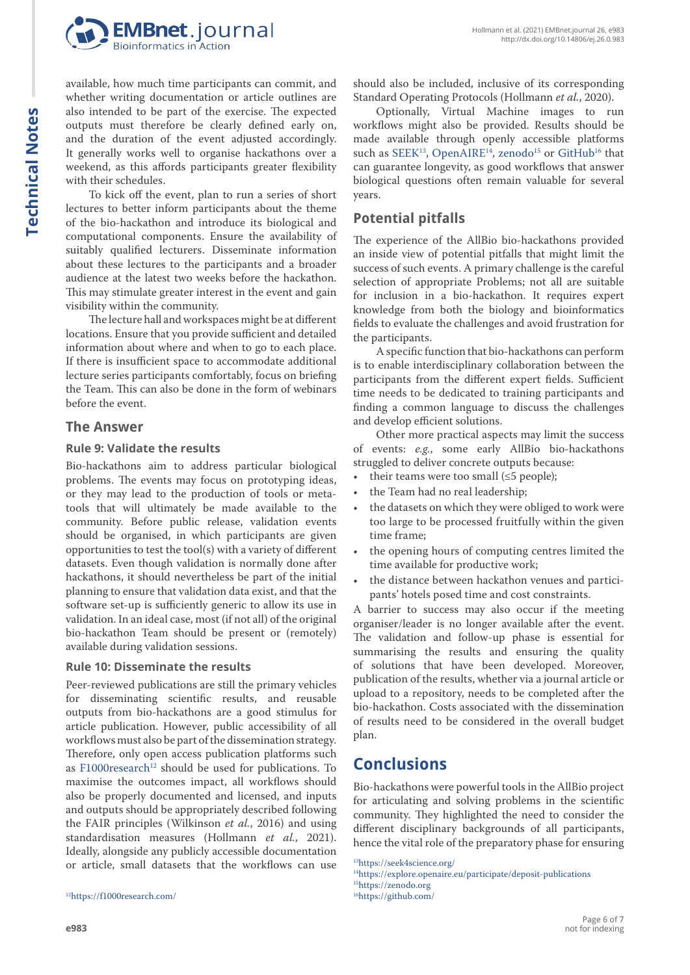



available, how much time participants can commit, and whether writing documentation or article outlines are also intended to be part of the exercise. The expected outputs must therefore be clearly defined early on, and the duration of the event adjusted accordingly. It generally works well to organise hackathons over a weekend, as this affords participants greater flexibility with their schedules.

To kick off the event, plan to run a series of short lectures to better inform participants about the theme of the bio-hackathon and introduce its biological and computational components. Ensure the availability of suitably qualified lecturers. Disseminate information about these lectures to the participants and a broader audience at the latest two weeks before the hackathon. This may stimulate greater interest in the event and gain visibility within the community.

The lecture hall and workspaces might be at different locations. Ensure that you provide sufficient and detailed information about where and when to go to each place. If there is insufficient space to accommodate additional lecture series participants comfortably, focus on briefing the Team. This can also be done in the form of webinars before the event.

#### **The Answer**

#### **Rule 9: Validate the results**

Bio-hackathons aim to address particular biological problems. The events may focus on prototyping ideas, or they may lead to the production of tools or metatools that will ultimately be made available to the community. Before public release, validation events should be organised, in which participants are given opportunities to test the tool(s) with a variety of different datasets. Even though validation is normally done after hackathons, it should nevertheless be part of the initial planning to ensure that validation data exist, and that the software set-up is sufficiently generic to allow its use in validation. In an ideal case, most (if not all) of the original bio-hackathon Team should be present or (remotely) available during validation sessions.

#### **Rule 10: Disseminate the results**

Peer-reviewed publications are still the primary vehicles for disseminating scientific results, and reusable outputs from bio-hackathons are a good stimulus for article publication. However, public accessibility of all workflows must also be part of the dissemination strategy. Therefore, only open access publication platforms such as F1000 $r$ esearch<sup>12</sup> should be used for publications. To maximise the outcomes impact, all workflows should also be properly documented and licensed, and inputs and outputs should be appropriately described following the FAIR principles (Wilkinson *et al.*, 2016) and using standardisation measures (Hollmann *et al.*, 2021). Ideally, alongside any publicly accessible documentation or article, small datasets that the workflows can use

1[2https://f1000research.com/](https://f1000research.com/)

Optionally, Virtual Machine images to run workflows might also be provided. Results should be made available through openly accessible platforms such as SEEK<sup>13</sup>, [OpenAIRE](https://explore.openaire.eu/participate/deposit-publications)<sup>14</sup>, zenodo<sup>15</sup> or [GitHub](https://github.com/)<sup>16</sup> that can guarantee longevity, as good workflows that answer biological questions often remain valuable for several years.

## **Potential pitfalls**

The experience of the AllBio bio-hackathons provided an inside view of potential pitfalls that might limit the success of such events. A primary challenge is the careful selection of appropriate Problems; not all are suitable for inclusion in a bio-hackathon. It requires expert knowledge from both the biology and bioinformatics fields to evaluate the challenges and avoid frustration for the participants.

A specific function that bio-hackathons can perform is to enable interdisciplinary collaboration between the participants from the different expert fields. Sufficient time needs to be dedicated to training participants and finding a common language to discuss the challenges and develop efficient solutions.

Other more practical aspects may limit the success of events: *e.g.*, some early AllBio bio-hackathons struggled to deliver concrete outputs because:

- their teams were too small  $(\leq 5$  people);
- the Team had no real leadership;
- the datasets on which they were obliged to work were too large to be processed fruitfully within the given time frame;
- the opening hours of computing centres limited the time available for productive work;
- the distance between hackathon venues and participants' hotels posed time and cost constraints.

A barrier to success may also occur if the meeting organiser/leader is no longer available after the event. The validation and follow-up phase is essential for summarising the results and ensuring the quality of solutions that have been developed. Moreover, publication of the results, whether via a journal article or upload to a repository, needs to be completed after the bio-hackathon. Costs associated with the dissemination of results need to be considered in the overall budget plan.

# **Conclusions**

Bio-hackathons were powerful tools in the AllBio project for articulating and solving problems in the scientific community. They highlighted the need to consider the different disciplinary backgrounds of all participants, hence the vital role of the preparatory phase for ensuring

1[3https://seek4science.org/](https://seek4science.org/)

1[4https://explore.openaire.eu/participate/deposit-publications](https://explore.openaire.eu/participate/deposit-publications) 1[5https://zenodo.org](https://zenodo.org) 1[6https://github.com/](https://github.com/)